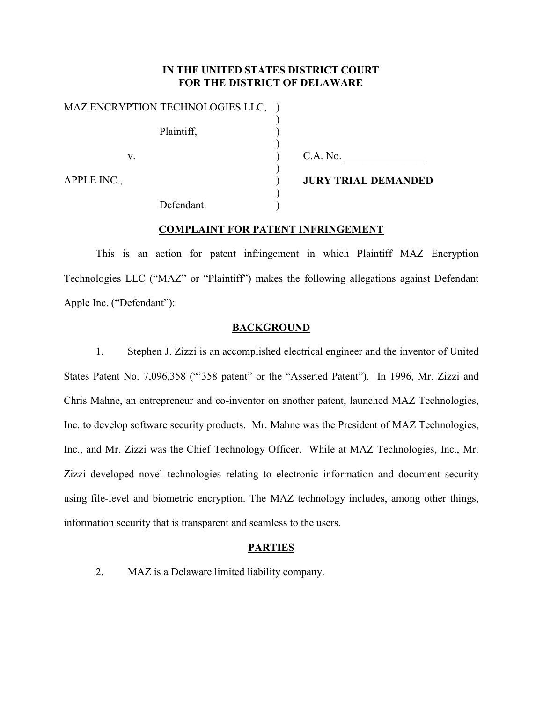# **IN THE UNITED STATES DISTRICT COURT FOR THE DISTRICT OF DELAWARE**

) ) ) ) ) ) ) )

MAZ ENCRYPTION TECHNOLOGIES LLC, ) Plaintiff, v.

C.A. No.

APPLE INC.,

Defendant.

**JURY TRIAL DEMANDED** 

# **COMPLAINT FOR PATENT INFRINGEMENT**

This is an action for patent infringement in which Plaintiff MAZ Encryption Technologies LLC ("MAZ" or "Plaintiff") makes the following allegations against Defendant Apple Inc. ("Defendant"):

### **BACKGROUND**

1. Stephen J. Zizzi is an accomplished electrical engineer and the inventor of United States Patent No. 7,096,358 ("'358 patent" or the "Asserted Patent"). In 1996, Mr. Zizzi and Chris Mahne, an entrepreneur and co-inventor on another patent, launched MAZ Technologies, Inc. to develop software security products. Mr. Mahne was the President of MAZ Technologies, Inc., and Mr. Zizzi was the Chief Technology Officer. While at MAZ Technologies, Inc., Mr. Zizzi developed novel technologies relating to electronic information and document security using file-level and biometric encryption. The MAZ technology includes, among other things, information security that is transparent and seamless to the users.

## **PARTIES**

2. MAZ is a Delaware limited liability company.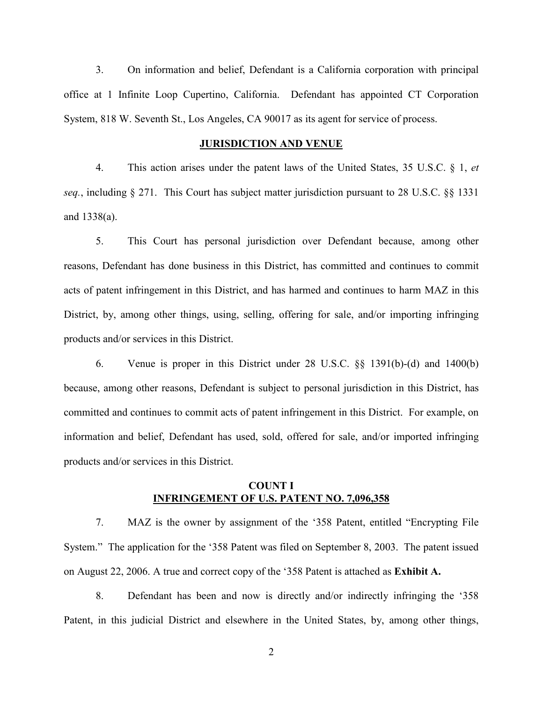3. On information and belief, Defendant is a California corporation with principal office at 1 Infinite Loop Cupertino, California. Defendant has appointed CT Corporation System, 818 W. Seventh St., Los Angeles, CA 90017 as its agent for service of process.

### **JURISDICTION AND VENUE**

4. This action arises under the patent laws of the United States, 35 U.S.C. § 1, *et seq.*, including § 271. This Court has subject matter jurisdiction pursuant to 28 U.S.C. §§ 1331 and 1338(a).

5. This Court has personal jurisdiction over Defendant because, among other reasons, Defendant has done business in this District, has committed and continues to commit acts of patent infringement in this District, and has harmed and continues to harm MAZ in this District, by, among other things, using, selling, offering for sale, and/or importing infringing products and/or services in this District.

6. Venue is proper in this District under 28 U.S.C. §§ 1391(b)-(d) and 1400(b) because, among other reasons, Defendant is subject to personal jurisdiction in this District, has committed and continues to commit acts of patent infringement in this District. For example, on information and belief, Defendant has used, sold, offered for sale, and/or imported infringing products and/or services in this District.

# **COUNT I INFRINGEMENT OF U.S. PATENT NO. 7,096,358**

7. MAZ is the owner by assignment of the '358 Patent, entitled "Encrypting File System." The application for the '358 Patent was filed on September 8, 2003. The patent issued on August 22, 2006. A true and correct copy of the '358 Patent is attached as **Exhibit A.**

8. Defendant has been and now is directly and/or indirectly infringing the '358 Patent, in this judicial District and elsewhere in the United States, by, among other things,

2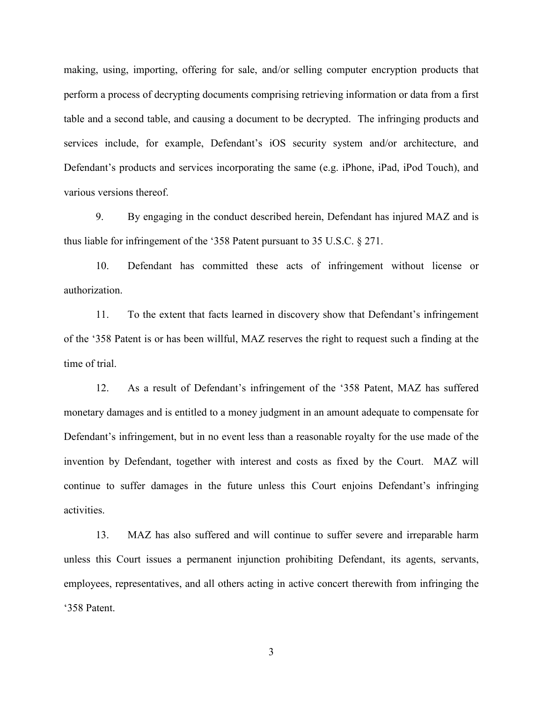making, using, importing, offering for sale, and/or selling computer encryption products that perform a process of decrypting documents comprising retrieving information or data from a first table and a second table, and causing a document to be decrypted. The infringing products and services include, for example, Defendant's iOS security system and/or architecture, and Defendant's products and services incorporating the same (e.g. iPhone, iPad, iPod Touch), and various versions thereof.

9. By engaging in the conduct described herein, Defendant has injured MAZ and is thus liable for infringement of the '358 Patent pursuant to 35 U.S.C. § 271.

10. Defendant has committed these acts of infringement without license or authorization.

11. To the extent that facts learned in discovery show that Defendant's infringement of the '358 Patent is or has been willful, MAZ reserves the right to request such a finding at the time of trial.

12. As a result of Defendant's infringement of the '358 Patent, MAZ has suffered monetary damages and is entitled to a money judgment in an amount adequate to compensate for Defendant's infringement, but in no event less than a reasonable royalty for the use made of the invention by Defendant, together with interest and costs as fixed by the Court. MAZ will continue to suffer damages in the future unless this Court enjoins Defendant's infringing activities.

13. MAZ has also suffered and will continue to suffer severe and irreparable harm unless this Court issues a permanent injunction prohibiting Defendant, its agents, servants, employees, representatives, and all others acting in active concert therewith from infringing the '358 Patent.

3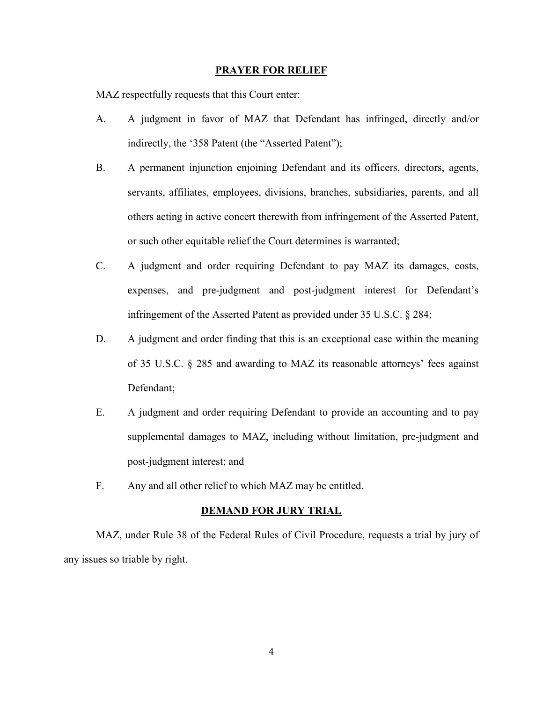#### **PRAYER FOR RELIEF**

MAZ respectfully requests that this Court enter:

- A. A judgment in favor of MAZ that Defendant has infringed, directly and/or indirectly, the '358 Patent (the "Asserted Patent");
- B. A permanent injunction enjoining Defendant and its officers, directors, agents, servants, affiliates, employees, divisions, branches, subsidiaries, parents, and all others acting in active concert therewith from infringement of the Asserted Patent, or such other equitable relief the Court determines is warranted;
- C. A judgment and order requiring Defendant to pay MAZ its damages, costs, expenses, and pre-judgment and post-judgment interest for Defendant's infringement of the Asserted Patent as provided under 35 U.S.C. § 284;
- D. A judgment and order finding that this is an exceptional case within the meaning of 35 U.S.C. § 285 and awarding to MAZ its reasonable attorneys' fees against Defendant;
- E. A judgment and order requiring Defendant to provide an accounting and to pay supplemental damages to MAZ, including without limitation, pre-judgment and post-judgment interest; and
- F. Any and all other relief to which MAZ may be entitled.

#### **DEMAND FOR JURY TRIAL**

MAZ, under Rule 38 of the Federal Rules of Civil Procedure, requests a trial by jury of any issues so triable by right.